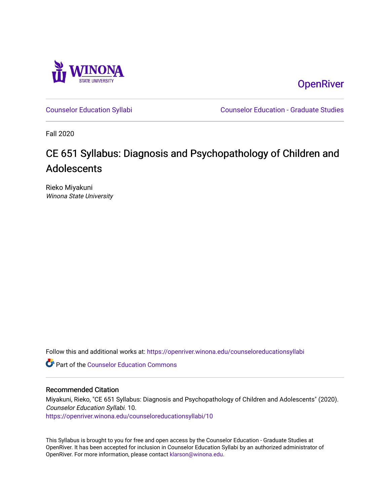

**OpenRiver** 

[Counselor Education Syllabi](https://openriver.winona.edu/counseloreducationsyllabi) [Counselor Education - Graduate Studies](https://openriver.winona.edu/counseloreducation) 

Fall 2020

# CE 651 Syllabus: Diagnosis and Psychopathology of Children and Adolescents

Rieko Miyakuni Winona State University

Follow this and additional works at: [https://openriver.winona.edu/counseloreducationsyllabi](https://openriver.winona.edu/counseloreducationsyllabi?utm_source=openriver.winona.edu%2Fcounseloreducationsyllabi%2F10&utm_medium=PDF&utm_campaign=PDFCoverPages)

Part of the [Counselor Education Commons](http://network.bepress.com/hgg/discipline/1278?utm_source=openriver.winona.edu%2Fcounseloreducationsyllabi%2F10&utm_medium=PDF&utm_campaign=PDFCoverPages) 

#### Recommended Citation

Miyakuni, Rieko, "CE 651 Syllabus: Diagnosis and Psychopathology of Children and Adolescents" (2020). Counselor Education Syllabi. 10. [https://openriver.winona.edu/counseloreducationsyllabi/10](https://openriver.winona.edu/counseloreducationsyllabi/10?utm_source=openriver.winona.edu%2Fcounseloreducationsyllabi%2F10&utm_medium=PDF&utm_campaign=PDFCoverPages) 

This Syllabus is brought to you for free and open access by the Counselor Education - Graduate Studies at OpenRiver. It has been accepted for inclusion in Counselor Education Syllabi by an authorized administrator of OpenRiver. For more information, please contact [klarson@winona.edu](mailto:klarson@winona.edu).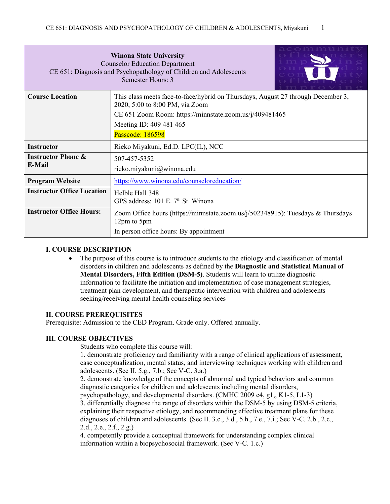| $\cap$ means<br><b>Winona State University</b><br><b>Counselor Education Department</b><br>CE 651: Diagnosis and Psychopathology of Children and Adolescents<br>Semester Hours: 3 |                                                                                                                     |  |  |  |  |
|-----------------------------------------------------------------------------------------------------------------------------------------------------------------------------------|---------------------------------------------------------------------------------------------------------------------|--|--|--|--|
| <b>Course Location</b>                                                                                                                                                            | This class meets face-to-face/hybrid on Thursdays, August 27 through December 3,<br>2020, 5:00 to 8:00 PM, via Zoom |  |  |  |  |
|                                                                                                                                                                                   | CE 651 Zoom Room: https://minnstate.zoom.us/j/409481465                                                             |  |  |  |  |
|                                                                                                                                                                                   | Meeting ID: 409 481 465                                                                                             |  |  |  |  |
|                                                                                                                                                                                   | Passcode: 186598                                                                                                    |  |  |  |  |
| <b>Instructor</b>                                                                                                                                                                 | Rieko Miyakuni, Ed.D. LPC(IL), NCC                                                                                  |  |  |  |  |
| <b>Instructor Phone &amp;</b>                                                                                                                                                     | 507-457-5352                                                                                                        |  |  |  |  |
| E-Mail<br>rieko.miyakuni@winona.edu                                                                                                                                               |                                                                                                                     |  |  |  |  |
| <b>Program Website</b>                                                                                                                                                            | https://www.winona.edu/counseloreducation/                                                                          |  |  |  |  |
| <b>Instructor Office Location</b><br>Helble Hall 348<br>GPS address: 101 E. 7 <sup>th</sup> St. Winona                                                                            |                                                                                                                     |  |  |  |  |
| <b>Instructor Office Hours:</b>                                                                                                                                                   | Zoom Office hours (https://minnstate.zoom.us/j/502348915): Tuesdays & Thursdays<br>12pm to 5pm                      |  |  |  |  |
|                                                                                                                                                                                   | In person office hours: By appointment                                                                              |  |  |  |  |

#### **I. COURSE DESCRIPTION**

• The purpose of this course is to introduce students to the etiology and classification of mental disorders in children and adolescents as defined by the **Diagnostic and Statistical Manual of Mental Disorders, Fifth Edition (DSM-5)**. Students will learn to utilize diagnostic information to facilitate the initiation and implementation of case management strategies, treatment plan development, and therapeutic intervention with children and adolescents seeking/receiving mental health counseling services

#### **II. COURSE PREREQUISITES**

Prerequisite: Admission to the CED Program. Grade only. Offered annually.

#### **III. COURSE OBJECTIVES**

Students who complete this course will:

1. demonstrate proficiency and familiarity with a range of clinical applications of assessment, case conceptualization, mental status, and interviewing techniques working with children and adolescents. (Sec II. 5.g., 7.b.; Sec V-C. 3.a.)

2. demonstrate knowledge of the concepts of abnormal and typical behaviors and common diagnostic categories for children and adolescents including mental disorders,

psychopathology, and developmental disorders. (CMHC 2009 c4, g1,, K1-5, L1-3)

3. differentially diagnose the range of disorders within the DSM-5 by using DSM-5 criteria, explaining their respective etiology, and recommending effective treatment plans for these diagnoses of children and adolescents. (Sec II. 3.c., 3.d., 5.h., 7.e., 7.i.; Sec V-C. 2.b., 2.c., 2.d., 2.e., 2.f., 2.g.)

4. competently provide a conceptual framework for understanding complex clinical information within a biopsychosocial framework. (Sec V-C. 1.c.)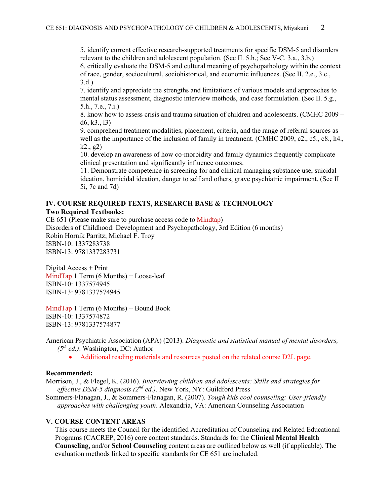5. identify current effective research-supported treatments for specific DSM-5 and disorders relevant to the children and adolescent population. (Sec II. 5.h.; Sec V-C. 3.a., 3.b.) 6. critically evaluate the DSM-5 and cultural meaning of psychopathology within the context of race, gender, sociocultural, sociohistorical, and economic influences. (Sec II. 2.e., 3.c., 3.d.)

7. identify and appreciate the strengths and limitations of various models and approaches to mental status assessment, diagnostic interview methods, and case formulation. (Sec II. 5.g., 5.h., 7.e., 7.i.)

8. know how to assess crisis and trauma situation of children and adolescents. (CMHC 2009 – d6, k3., l3)

9. comprehend treatment modalities, placement, criteria, and the range of referral sources as well as the importance of the inclusion of family in treatment. (CMHC 2009, c2., c5., c8., h4.,  $k2, g2)$ 

10. develop an awareness of how co-morbidity and family dynamics frequently complicate clinical presentation and significantly influence outcomes.

11. Demonstrate competence in screening for and clinical managing substance use, suicidal ideation, homicidal ideation, danger to self and others, grave psychiatric impairment. (Sec II 5i, 7c and 7d)

# **IV. COURSE REQUIRED TEXTS, RESEARCH BASE & TECHNOLOGY Two Required Textbooks:**

CE 651 (Please make sure to purchase access code to Mindtap) Disorders of Childhood: Development and Psychopathology, 3rd Edition (6 months) Robin Hornik Parritz; Michael F. Troy ISBN-10: 1337283738 ISBN-13: 9781337283731

Digital Access + Print MindTap 1 Term (6 Months) + Loose-leaf ISBN-10: 1337574945 ISBN-13: 9781337574945

MindTap 1 Term (6 Months) + Bound Book ISBN-10: 1337574872 ISBN-13: 9781337574877

American Psychiatric Association (APA) (2013). *Diagnostic and statistical manual of mental disorders, (5th ed.)*. Washington, DC: Author

• Additional reading materials and resources posted on the related course D2L page.

#### **Recommended:**

Morrison, J., & Flegel, K. (2016). *Interviewing children and adolescents: Skills and strategies for effective DSM-5 diagnosis (2nd ed.).* New York, NY: Guildford Press

Sommers-Flanagan, J., & Sommers-Flanagan, R. (2007). *Tough kids cool counseling: User-friendly approaches with challenging youth*. Alexandria, VA: American Counseling Association

#### **V. COURSE CONTENT AREAS**

This course meets the Council for the identified Accreditation of Counseling and Related Educational Programs (CACREP, 2016) core content standards. Standards for the **Clinical Mental Health Counseling,** and/or **School Counseling** content areas are outlined below as well (if applicable). The evaluation methods linked to specific standards for CE 651 are included.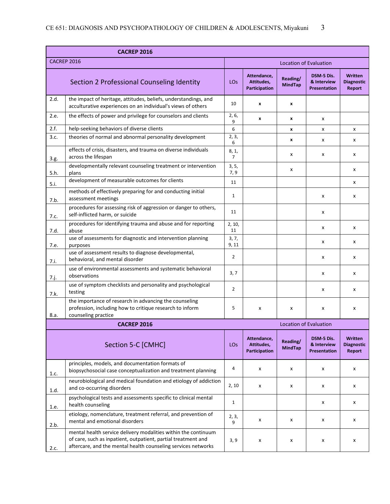|                                                                                                                                                   | <b>CACREP 2016</b>                                                                                                                                                                               |                               |                                            |                               |                                                  |                                               |  |
|---------------------------------------------------------------------------------------------------------------------------------------------------|--------------------------------------------------------------------------------------------------------------------------------------------------------------------------------------------------|-------------------------------|--------------------------------------------|-------------------------------|--------------------------------------------------|-----------------------------------------------|--|
| <b>CACREP 2016</b>                                                                                                                                |                                                                                                                                                                                                  | <b>Location of Evaluation</b> |                                            |                               |                                                  |                                               |  |
|                                                                                                                                                   | Section 2 Professional Counseling Identity                                                                                                                                                       | LO <sub>S</sub>               | Attendance,<br>Attitudes,<br>Participation | Reading/<br><b>MindTap</b>    | DSM-5 Dis.<br>& Interview<br><b>Presentation</b> | <b>Written</b><br><b>Diagnostic</b><br>Report |  |
| 2.d.                                                                                                                                              | the impact of heritage, attitudes, beliefs, understandings, and<br>acculturative experiences on an individual's views of others                                                                  | 10                            | x                                          | x                             |                                                  |                                               |  |
| 2.e.                                                                                                                                              | the effects of power and privilege for counselors and clients                                                                                                                                    | 2, 6,<br>9                    | $\boldsymbol{x}$                           | x                             | x                                                |                                               |  |
| 2.f.                                                                                                                                              | help-seeking behaviors of diverse clients                                                                                                                                                        | 6                             |                                            | x                             | x                                                | x                                             |  |
| 3.c.                                                                                                                                              | theories of normal and abnormal personality development                                                                                                                                          | 2, 3,<br>6                    |                                            | x                             | x                                                | x                                             |  |
| 3.g.                                                                                                                                              | effects of crisis, disasters, and trauma on diverse individuals<br>across the lifespan                                                                                                           | 8, 1,<br>$\overline{7}$       |                                            | x                             | x                                                | x                                             |  |
| 5.h.                                                                                                                                              | developmentally relevant counseling treatment or intervention<br>plans                                                                                                                           | 3, 5,<br>7, 9                 |                                            | x                             |                                                  | x                                             |  |
| 5.i.                                                                                                                                              | development of measurable outcomes for clients                                                                                                                                                   | 11                            |                                            |                               |                                                  | x                                             |  |
| 7.b.                                                                                                                                              | methods of effectively preparing for and conducting initial<br>assessment meetings                                                                                                               | $\mathbf{1}$                  |                                            |                               | x                                                | x                                             |  |
| 7.c.                                                                                                                                              | procedures for assessing risk of aggression or danger to others,<br>self-inflicted harm, or suicide                                                                                              | 11                            |                                            |                               | $\mathsf{x}$                                     |                                               |  |
| 7.d.                                                                                                                                              | procedures for identifying trauma and abuse and for reporting<br>abuse                                                                                                                           | 2, 10,<br>11                  |                                            |                               | $\boldsymbol{\mathsf{x}}$                        | X                                             |  |
| 7.e.                                                                                                                                              | use of assessments for diagnostic and intervention planning<br>purposes                                                                                                                          | 3, 7,<br>9, 11                |                                            |                               | X                                                | x                                             |  |
| 7.i.                                                                                                                                              | use of assessment results to diagnose developmental,<br>behavioral, and mental disorder                                                                                                          | $\overline{2}$                |                                            |                               | x                                                | x                                             |  |
| 7.j.                                                                                                                                              | use of environmental assessments and systematic behavioral<br>observations                                                                                                                       | 3, 7                          |                                            |                               | x                                                | x                                             |  |
| 7.k.                                                                                                                                              | use of symptom checklists and personality and psychological<br>testing                                                                                                                           | $\overline{2}$                |                                            |                               | x                                                | x                                             |  |
| the importance of research in advancing the counseling<br>profession, including how to critique research to inform<br>counseling practice<br>8.a. |                                                                                                                                                                                                  |                               | x                                          | x                             | x                                                | x                                             |  |
|                                                                                                                                                   | <b>CACREP 2016</b>                                                                                                                                                                               |                               |                                            | <b>Location of Evaluation</b> |                                                  |                                               |  |
| Section 5-C [CMHC]                                                                                                                                |                                                                                                                                                                                                  |                               | Attendance.<br>Attitudes,<br>Participation | Reading/<br><b>MindTap</b>    | DSM-5 Dis.<br>& Interview<br><b>Presentation</b> | <b>Written</b><br><b>Diagnostic</b><br>Report |  |
| 1.c.                                                                                                                                              | principles, models, and documentation formats of<br>biopsychosocial case conceptualization and treatment planning                                                                                | 4                             | X                                          | x                             | x                                                | x                                             |  |
| 1.d.                                                                                                                                              | neurobiological and medical foundation and etiology of addiction<br>and co-occurring disorders                                                                                                   | 2, 10                         | X                                          | X                             | x                                                | x                                             |  |
| 1.e.                                                                                                                                              | psychological tests and assessments specific to clinical mental<br>health counseling                                                                                                             | $\mathbf{1}$                  |                                            |                               | x                                                | x                                             |  |
| 2.b.                                                                                                                                              | etiology, nomenclature, treatment referral, and prevention of<br>mental and emotional disorders                                                                                                  | 2, 3,<br>9                    | X                                          | х                             | x                                                | x                                             |  |
| 2.c.                                                                                                                                              | mental health service delivery modalities within the continuum<br>of care, such as inpatient, outpatient, partial treatment and<br>aftercare, and the mental health counseling services networks | 3, 9                          | X                                          | X                             | x                                                | X                                             |  |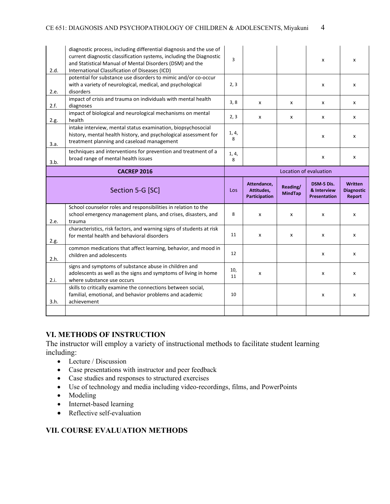| 2.d. | diagnostic process, including differential diagnosis and the use of<br>current diagnostic classification systems, including the Diagnostic<br>and Statistical Manual of Mental Disorders (DSM) and the<br>International Classification of Diseases (ICD) | 3                      |                                                   |                            | x                                                | x                                             |
|------|----------------------------------------------------------------------------------------------------------------------------------------------------------------------------------------------------------------------------------------------------------|------------------------|---------------------------------------------------|----------------------------|--------------------------------------------------|-----------------------------------------------|
| 2.e. | potential for substance use disorders to mimic and/or co-occur<br>with a variety of neurological, medical, and psychological<br>disorders                                                                                                                | 2, 3                   |                                                   |                            | x                                                | x                                             |
| 2.f. | impact of crisis and trauma on individuals with mental health<br>diagnoses                                                                                                                                                                               | 3, 8                   | X                                                 | X                          | x                                                | x                                             |
| 2.g. | impact of biological and neurological mechanisms on mental<br>health                                                                                                                                                                                     | 2, 3                   | $\boldsymbol{\mathsf{x}}$                         | X                          | x                                                | X                                             |
| 3.a. | intake interview, mental status examination, biopsychosocial<br>history, mental health history, and psychological assessment for<br>treatment planning and caseload management                                                                           | 1, 4,<br>8             |                                                   |                            | x                                                | x                                             |
| 3.b. | techniques and interventions for prevention and treatment of a<br>broad range of mental health issues                                                                                                                                                    | 1, 4,<br>8             |                                                   |                            | x                                                | x                                             |
|      | <b>CACREP 2016</b>                                                                                                                                                                                                                                       | Location of evaluation |                                                   |                            |                                                  |                                               |
|      |                                                                                                                                                                                                                                                          |                        |                                                   |                            |                                                  |                                               |
|      | Section 5-G [SC]                                                                                                                                                                                                                                         | Los                    | Attendance.<br>Attitudes,<br><b>Participation</b> | Reading/<br><b>MindTap</b> | DSM-5 Dis.<br>& Interview<br><b>Presentation</b> | <b>Written</b><br><b>Diagnostic</b><br>Report |
| 2.e. | School counselor roles and responsibilities in relation to the<br>school emergency management plans, and crises, disasters, and<br>trauma                                                                                                                | 8                      | X                                                 | X                          | x                                                | x                                             |
| 2.g. | characteristics, risk factors, and warning signs of students at risk<br>for mental health and behavioral disorders                                                                                                                                       | 11                     | X                                                 | x                          | X                                                | x                                             |
| 2.h. | common medications that affect learning, behavior, and mood in<br>children and adolescents                                                                                                                                                               | 12                     |                                                   |                            | x                                                | x                                             |
| 2.i. | signs and symptoms of substance abuse in children and<br>adolescents as well as the signs and symptoms of living in home<br>where substance use occurs                                                                                                   | 10,<br>11              | x                                                 |                            | x                                                | x                                             |
| 3.h. | skills to critically examine the connections between social,<br>familial, emotional, and behavior problems and academic<br>achievement                                                                                                                   | 10                     |                                                   |                            | x                                                | x                                             |

# **VI. METHODS OF INSTRUCTION**

The instructor will employ a variety of instructional methods to facilitate student learning including:

- Lecture / Discussion
- Case presentations with instructor and peer feedback
- Case studies and responses to structured exercises
- Use of technology and media including video-recordings, films, and PowerPoints
- Modeling
- Internet-based learning
- Reflective self-evaluation

# **VII. COURSE EVALUATION METHODS**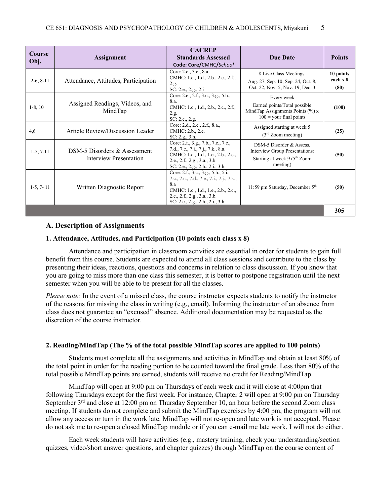| <b>Course</b><br>Obj. | Assignment                                             | <b>CACREP</b><br><b>Standards Assessed</b><br>Code: Core/CMHC/School                                                                                                                               | <b>Due Date</b>                                                                                                    | <b>Points</b>                 |
|-----------------------|--------------------------------------------------------|----------------------------------------------------------------------------------------------------------------------------------------------------------------------------------------------------|--------------------------------------------------------------------------------------------------------------------|-------------------------------|
| $2-6, 8-11$           | Attendance, Attitudes, Participation                   | Core: 2.e., 3.c., 8.a<br>CMHC: 1.c., 1.d., 2.b., 2.c., 2.f.,<br>2.g.<br>SC: 2.e., 2.g., 2.i                                                                                                        | 8 Live Class Meetings:<br>Aug. 27, Sep. 10, Sep. 24, Oct. 8,<br>Oct. 22, Nov. 5, Nov. 19, Dec. 3                   | 10 points<br>each x 8<br>(80) |
| $1-8, 10$             | Assigned Readings, Videos, and<br>MindTap              | Core: 2.e., 2.f., 3.c., 3.g., 5.h.,<br>8.a.<br>CMHC: 1.c., 1.d., 2.b., 2.c., 2.f.,<br>2.g.<br>SC: 2.e., 2.g.                                                                                       | Every week<br>Earned points/Total possible<br>MindTap Assignments Points $(\%) x$<br>$100 =$ your final points     | (100)                         |
| 4,6                   | Article Review/Discussion Leader                       | Core: 2.d., 2.e., 2.f., 8.a.,<br>CMHC: 2.b., 2.e.<br>SC: 2.g., 3.h.                                                                                                                                | Assigned starting at week 5<br>$(3rd$ Zoom meeting)                                                                | (25)                          |
| $1-5, 7-11$           | DSM-5 Disorders & Assessment<br>Interview Presentation | Core: 2.f., 3.g., 7.b., 7.c., 7.c.,<br>7.d., 7.e., 7.i., 7.j., 7.k., 8.a.<br>CMHC: 1.c., 1.d., 1.e., 2.b., 2.c.,<br>2.e., 2.f., 2.g., 3.a., 3.b.<br>SC: 2.e., 2.g., 2.h., 2.i., 3.h.               | DSM-5 Disorder & Assess.<br>Interview Group Presentations:<br>Starting at week 9 (5 <sup>th</sup> Zoom<br>meeting) | (50)                          |
| $1-5, 7-11$           | Written Diagnostic Report                              | Core: 2.f., 3.c., 3.g., 5.h., 5.i.,<br>7.c., 7.c., 7.d., 7.e., 7.i., 7.j., 7.k.,<br>8.a<br>CMHC: 1.c., 1.d., 1.e., 2.b., 2.c.,<br>2.e., 2.f., 2.g., 3.a., 3.b.<br>SC: 2.e., 2.g., 2.h., 2.i., 3.h. | 11:59 pm Saturday, December $5th$                                                                                  | (50)                          |
|                       |                                                        |                                                                                                                                                                                                    |                                                                                                                    | 305                           |

# **A. Description of Assignments**

#### **1. Attendance, Attitudes, and Participation (10 points each class x 8)**

Attendance and participation in classroom activities are essential in order for students to gain full benefit from this course. Students are expected to attend all class sessions and contribute to the class by presenting their ideas, reactions, questions and concerns in relation to class discussion. If you know that you are going to miss more than one class this semester, it is better to postpone registration until the next semester when you will be able to be present for all the classes.

*Please note:* In the event of a missed class, the course instructor expects students to notify the instructor of the reasons for missing the class in writing (e.g., email). Informing the instructor of an absence from class does not guarantee an "excused" absence. Additional documentation may be requested as the discretion of the course instructor.

#### **2. Reading/MindTap (The % of the total possible MindTap scores are applied to 100 points)**

Students must complete all the assignments and activities in MindTap and obtain at least 80% of the total point in order for the reading portion to be counted toward the final grade. Less than 80% of the total possible MindTap points are earned, students will receive no credit for Reading/MindTap.

MindTap will open at 9:00 pm on Thursdays of each week and it will close at 4:00pm that following Thursdays except for the first week. For instance, Chapter 2 will open at 9:00 pm on Thursday September  $3<sup>rd</sup>$  and close at 12:00 pm on Thursday September 10, an hour before the second Zoom class meeting. If students do not complete and submit the MindTap exercises by 4:00 pm, the program will not allow any access or turn in the work late. MindTap will not re-open and late work is not accepted. Please do not ask me to re-open a closed MindTap module or if you can e-mail me late work. I will not do either.

Each week students will have activities (e.g., mastery training, check your understanding/section quizzes, video/short answer questions, and chapter quizzes) through MindTap on the course content of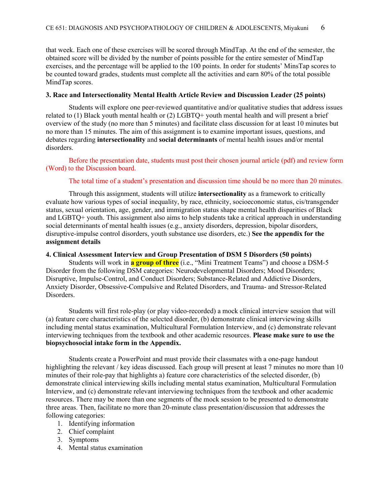that week. Each one of these exercises will be scored through MindTap. At the end of the semester, the obtained score will be divided by the number of points possible for the entire semester of MindTap exercises, and the percentage will be applied to the 100 points. In order for students' MinsTap scores to be counted toward grades, students must complete all the activities and earn 80% of the total possible MindTap scores.

#### **3. Race and Intersectionality Mental Health Article Review and Discussion Leader (25 points)**

Students will explore one peer-reviewed quantitative and/or qualitative studies that address issues related to (1) Black youth mental health or (2) LGBTQ+ youth mental health and will present a brief overview of the study (no more than 5 minutes) and facilitate class discussion for at least 10 minutes but no more than 15 minutes. The aim of this assignment is to examine important issues, questions, and debates regarding **intersectionality** and **social determinants** of mental health issues and/or mental disorders.

Before the presentation date, students must post their chosen journal article (pdf) and review form (Word) to the Discussion board.

#### The total time of a student's presentation and discussion time should be no more than 20 minutes.

Through this assignment, students will utilize **intersectionality** as a framework to critically evaluate how various types of social inequality, by race, ethnicity, socioeconomic status, cis/transgender status, sexual orientation, age, gender, and immigration status shape mental health disparities of Black and LGBTQ+ youth. This assignment also aims to help students take a critical approach in understanding social determinants of mental health issues (e.g., anxiety disorders, depression, bipolar disorders, disruptive-impulse control disorders, youth substance use disorders, etc.) **See the appendix for the assignment details**

#### **4. Clinical Assessment Interview and Group Presentation of DSM 5 Disorders (50 points)**

Students will work in **a group of three** (i.e., "Mini Treatment Teams") and choose a DSM-5 Disorder from the following DSM categories: Neurodevelopmental Disorders; Mood Disorders; Disruptive, Impulse-Control, and Conduct Disorders; Substance-Related and Addictive Disorders, Anxiety Disorder, Obsessive-Compulsive and Related Disorders, and Trauma- and Stressor-Related Disorders.

Students will first role-play (or play video-recorded) a mock clinical interview session that will (a) feature core characteristics of the selected disorder, (b) demonstrate clinical interviewing skills including mental status examination, Multicultural Formulation Interview, and (c) demonstrate relevant interviewing techniques from the textbook and other academic resources. **Please make sure to use the biopsychosocial intake form in the Appendix.**

Students create a PowerPoint and must provide their classmates with a one-page handout highlighting the relevant / key ideas discussed. Each group will present at least 7 minutes no more than 10 minutes of their role-pay that highlights a) feature core characteristics of the selected disorder, (b) demonstrate clinical interviewing skills including mental status examination, Multicultural Formulation Interview, and (c) demonstrate relevant interviewing techniques from the textbook and other academic resources. There may be more than one segments of the mock session to be presented to demonstrate three areas. Then, facilitate no more than 20-minute class presentation/discussion that addresses the following categories:

- 1. Identifying information
- 2. Chief complaint
- 3. Symptoms
- 4. Mental status examination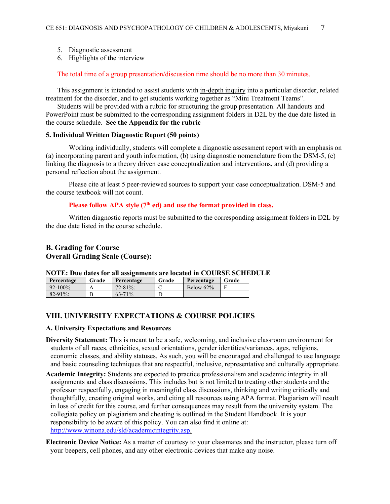- 5. Diagnostic assessment
- 6. Highlights of the interview

The total time of a group presentation/discussion time should be no more than 30 minutes.

This assignment is intended to assist students with in-depth inquiry into a particular disorder, related treatment for the disorder, and to get students working together as "Mini Treatment Teams".

Students will be provided with a rubric for structuring the group presentation. All handouts and PowerPoint must be submitted to the corresponding assignment folders in D2L by the due date listed in the course schedule. **See the Appendix for the rubric**

#### **5. Individual Written Diagnostic Report (50 points)**

Working individually, students will complete a diagnostic assessment report with an emphasis on (a) incorporating parent and youth information, (b) using diagnostic nomenclature from the DSM-5, (c) linking the diagnosis to a theory driven case conceptualization and interventions, and (d) providing a personal reflection about the assignment.

Please cite at least 5 peer-reviewed sources to support your case conceptualization. DSM-5 and the course textbook will not count.

# Please follow APA style (7<sup>th</sup> ed) and use the format provided in class.

Written diagnostic reports must be submitted to the corresponding assignment folders in D2L by the due date listed in the course schedule.

# **B. Grading for Course Overall Grading Scale (Course):**

# **NOTE: Due dates for all assignments are located in COURSE SCHEDULE**

| Percentage   | Grade | Percentage  | Grade | Percentage   | Grade |
|--------------|-------|-------------|-------|--------------|-------|
| $92 - 100\%$ |       | $72 - 81\%$ |       | Below $62\%$ |       |
| $82 - 91\%$  |       | $63 - 71\%$ |       |              |       |

## **VIII. UNIVERSITY EXPECTATIONS & COURSE POLICIES**

#### **A. University Expectations and Resources**

- **Diversity Statement:** This is meant to be a safe, welcoming, and inclusive classroom environment for students of all races, ethnicities, sexual orientations, gender identities/variances, ages, religions, economic classes, and ability statuses. As such, you will be encouraged and challenged to use language and basic counseling techniques that are respectful, inclusive, representative and culturally appropriate.
- **Academic Integrity:** Students are expected to practice professionalism and academic integrity in all assignments and class discussions. This includes but is not limited to treating other students and the professor respectfully, engaging in meaningful class discussions, thinking and writing critically and thoughtfully, creating original works, and citing all resources using APA format. Plagiarism will result in loss of credit for this course, and further consequences may result from the university system. The collegiate policy on plagiarism and cheating is outlined in the Student Handbook. It is your responsibility to be aware of this policy. You can also find it online at: [http://www.winona.edu/sld/academicintegrity.asp.](http://www.winona.edu/sld/academicintegrity.asp)
- **Electronic Device Notice:** As a matter of courtesy to your classmates and the instructor, please turn off your beepers, cell phones, and any other electronic devices that make any noise.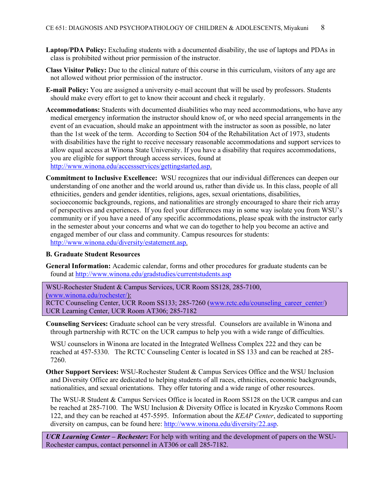- **Laptop/PDA Policy:** Excluding students with a documented disability, the use of laptops and PDAs in class is prohibited without prior permission of the instructor.
- **Class Visitor Policy:** Due to the clinical nature of this course in this curriculum, visitors of any age are not allowed without prior permission of the instructor.
- **E-mail Policy:** You are assigned a university e-mail account that will be used by professors. Students should make every effort to get to know their account and check it regularly.
- **Accommodations:** Students with documented disabilities who may need accommodations, who have any medical emergency information the instructor should know of, or who need special arrangements in the event of an evacuation, should make an appointment with the instructor as soon as possible, no later than the 1st week of the term. According to Section 504 of the Rehabilitation Act of 1973, students with disabilities have the right to receive necessary reasonable accommodations and support services to allow equal access at Winona State University. If you have a disability that requires accommodations, you are eligible for support through access services, found at [http://www.winona.edu/accessservices/gettingstarted.asp.](http://www.winona.edu/accessservices/gettingstarted.asp)
- **Commitment to Inclusive Excellence:** WSU recognizes that our individual differences can deepen our understanding of one another and the world around us, rather than divide us. In this class, people of all ethnicities, genders and gender identities, religions, ages, sexual orientations, disabilities, socioeconomic backgrounds, regions, and nationalities are strongly encouraged to share their rich array of perspectives and experiences. If you feel your differences may in some way isolate you from WSU's community or if you have a need of any specific accommodations, please speak with the instructor early in the semester about your concerns and what we can do together to help you become an active and engaged member of our class and community. Campus resources for students: [http://www.winona.edu/diversity/estatement.asp.](http://www.winona.edu/diversity/estatement.asp)

#### **B. Graduate Student Resources**

**General Information:** Academic calendar, forms and other procedures for graduate students can be found at<http://www.winona.edu/gradstudies/currentstudents.asp>

WSU-Rochester Student & Campus Services, UCR Room SS128, 285-7100, [\(www.winona.edu/rochester/\)](http://www.winona.edu/rochester/): RCTC Counseling Center, UCR Room SS133; 285-7260 [\(www.rctc.edu/counseling\\_career\\_center/\)](http://www.rctc.edu/counseling_career_center/) UCR Learning Center, UCR Room AT306; 285-7182

**Counseling Services:** Graduate school can be very stressful. Counselors are available in Winona and through partnership with RCTC on the UCR campus to help you with a wide range of difficulties.

WSU counselors in Winona are located in the Integrated Wellness Complex 222 and they can be reached at 457-5330. The RCTC Counseling Center is located in SS 133 and can be reached at 285- 7260.

**Other Support Services:** WSU-Rochester Student & Campus Services Office and the WSU Inclusion and Diversity Office are dedicated to helping students of all races, ethnicities, economic backgrounds, nationalities, and sexual orientations. They offer tutoring and a wide range of other resources.

The WSU-R Student & Campus Services Office is located in Room SS128 on the UCR campus and can be reached at 285-7100. The WSU Inclusion & Diversity Office is located in Kryzsko Commons Room 122, and they can be reached at 457-5595. Information about the *KEAP Center*, dedicated to supporting diversity on campus, can be found here: [http://www.winona.edu/diversity/22.asp.](http://www.winona.edu/diversity/22.asp)

*UCR Learning Center – Rochester***:** For help with writing and the development of papers on the WSU-Rochester campus, contact personnel in AT306 or call 285-7182.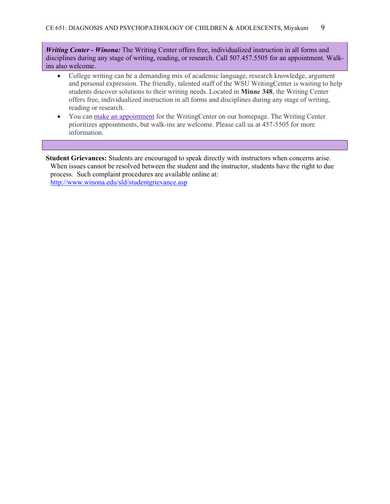*Writing Center - Winona:* The Writing Center offers free, individualized instruction in all forms and disciplines during any stage of writing, reading, or research. Call 507.457.5505 for an appointment. Walkins also welcome.

- College writing can be a demanding mix of academic language, research knowledge, argument and personal expression. The friendly, talented staff of the WSU WritingCenter is waiting to help students discover solutions to their writing needs. Located in **Minne 348**, the Writing Center offers free, individualized instruction in all forms and disciplines during any stage of writing, reading or research.
- You can make an [appointment](https://nam02.safelinks.protection.outlook.com/?url=https%3A%2F%2Ftutortrac.winona.edu%2FTracWeb40%2FDefault.html&data=02%7C01%7Crieko.miyakuni%40winona.edu%7Cbf9f70f43fed4cab718608d7267533aa%7C5011c7c60ab446ab9ef4fae74a921a7f%7C0%7C0%7C637020157438132294&sdata=FvaxpyiO8vfwisQ6yn9Azmp4AVIHuDhSuGOL1Frr8l8%3D&reserved=0) for the WritingCenter on our homepage. The Writing Center prioritizes appointments, but walk-ins are welcome. Please call us at 457-5505 for more information.

**Student Grievances:** Students are encouraged to speak directly with instructors when concerns arise. When issues cannot be resolved between the student and the instructor, students have the right to due process. Such complaint procedures are available online at: <http://www.winona.edu/sld/studentgrievance.asp>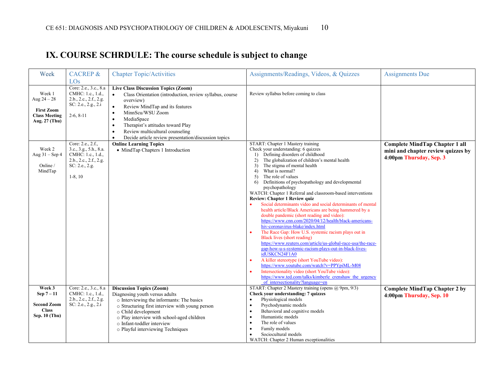# **IX. COURSE SCHRDULE: The course schedule is subject to change**

| Week                                                                                  | <b>CACREP &amp;</b><br>LOs                                                                                                      | <b>Chapter Topic/Activities</b>                                                                                                                                                                                                                                                                                                                                                                                                                      | Assignments/Readings, Videos, & Quizzes                                                                                                                                                                                                                                                                                                                                                                                                                                                                                                                                                                                                                                                                                                                                                                                                                                                                                                                                                                                                                                                                                                                    | <b>Assignments Due</b>                                                                                 |
|---------------------------------------------------------------------------------------|---------------------------------------------------------------------------------------------------------------------------------|------------------------------------------------------------------------------------------------------------------------------------------------------------------------------------------------------------------------------------------------------------------------------------------------------------------------------------------------------------------------------------------------------------------------------------------------------|------------------------------------------------------------------------------------------------------------------------------------------------------------------------------------------------------------------------------------------------------------------------------------------------------------------------------------------------------------------------------------------------------------------------------------------------------------------------------------------------------------------------------------------------------------------------------------------------------------------------------------------------------------------------------------------------------------------------------------------------------------------------------------------------------------------------------------------------------------------------------------------------------------------------------------------------------------------------------------------------------------------------------------------------------------------------------------------------------------------------------------------------------------|--------------------------------------------------------------------------------------------------------|
| Week 1<br>Aug $24 - 28$<br><b>First Zoom</b><br><b>Class Meeting</b><br>Aug. 27 (Thu) | Core: 2.e., 3.c., 8.a<br>CMHC: 1.c., 1.d.,<br>2.b., 2.c., 2.f., 2.g.<br>SC: 2.e., 2.g., 2.i<br>$2-6, 8-11$<br>Core: 2.e., 2.f., | <b>Live Class Discussion Topics (Zoom)</b><br>Class Orientation (introduction, review syllabus, course<br>$\bullet$<br>overview)<br>Review MindTap and its features<br>$\bullet$<br>MinnScu/WSU Zoom<br>$\bullet$<br>MediaSpace<br>$\bullet$<br>Therapist's attitudes toward Play<br>$\bullet$<br>Review multicultural counseling<br>$\bullet$<br>Decide article review presentation/discussion topics<br>$\bullet$<br><b>Online Learning Topics</b> | Review syllabus before coming to class<br>START: Chapter 1 Mastery training                                                                                                                                                                                                                                                                                                                                                                                                                                                                                                                                                                                                                                                                                                                                                                                                                                                                                                                                                                                                                                                                                |                                                                                                        |
| Week 2<br>Aug $31 -$ Sep 4<br>Online /<br>MindTap                                     | 3.c., 3.g., 5.h., 8.a.<br>CMHC: 1.c., 1.d.,<br>2.b., 2.c., 2.f., 2.g.<br>SC: 2.e., 2.g.<br>$1-8, 10$                            | • MindTap Chapters 1 Introduction                                                                                                                                                                                                                                                                                                                                                                                                                    | Check your understanding: 6 quizzes<br>1) Defining disorders of childhood<br>The globalization of children's mental health<br>2)<br>The stigma of mental health<br>3)<br>What is normal?<br>4)<br>The role of values<br>5)<br>Definitions of psychopathology and developmental<br>6)<br>psychopathology<br>WATCH: Chapter 1 Referral and classroom-based interventions<br>Review: Chapter 1 Review quiz<br>Social determinants video and social determinants of mental<br>health article/Black Americans are being hammered by a<br>double pandemic (short reading and video):<br>https://www.cnn.com/2020/04/12/health/black-americans-<br>hiv-coronavirus-blake/index.html<br>The Race Gap: How U.S. systemic racism plays out in<br>Black lives (short reading)<br>https://www.reuters.com/article/us-global-race-usa/the-race-<br>gap-how-u-s-systemic-racism-plays-out-in-black-lives-<br>idUSKCN24F1A0<br>A killer stereotype (short YouTube video):<br>https://www.youtube.com/watch?v=PPYpiML-M08<br>Intersectionality video (short YouTube video):<br>https://www.ted.com/talks/kimberle_crenshaw_the_urgency<br>of intersectionality?language=en | <b>Complete MindTap Chapter 1 all</b><br>mini and chapter review quizzes by<br>4:00pm Thursday, Sep. 3 |
| Week 3<br>Sep 7-11                                                                    | Core: 2.e., 3.c., 8.a<br>CMHC: 1.c., 1.d.,<br>2.b., 2.c., 2.f., 2.g.                                                            | <b>Discussion Topics (Zoom)</b><br>Diagnosing youth versus adults<br>o Interviewing the informants: The basics                                                                                                                                                                                                                                                                                                                                       | START: Chapter 2 Mastery training (opens @ 9pm, 9/3)<br>Check your understanding: 7 quizzes<br>Physiological models                                                                                                                                                                                                                                                                                                                                                                                                                                                                                                                                                                                                                                                                                                                                                                                                                                                                                                                                                                                                                                        | <b>Complete MindTap Chapter 2 by</b><br>4:00pm Thursday, Sep. 10                                       |
| <b>Second Zoom</b><br><b>Class</b><br>Sep. 10 (Thu)                                   | SC: 2.e., 2.g., 2.i                                                                                                             | o Structuring first interview with young person<br>o Child development<br>o Play interview with school-aged children<br>o Infant-toddler interview<br>o Playful interviewing Techniques                                                                                                                                                                                                                                                              | Psychodynamic models<br>Behavioral and cognitive models<br>Humanistic models<br>The role of values<br>Family models<br>Sociocultural models<br>WATCH: Chapter 2 Human exceptionalities                                                                                                                                                                                                                                                                                                                                                                                                                                                                                                                                                                                                                                                                                                                                                                                                                                                                                                                                                                     |                                                                                                        |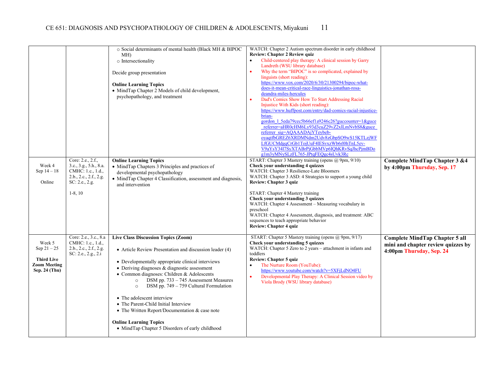|                                                                                      |                                                                                                                           | o Social determinants of mental health (Black MH & BIPOC<br>MH)<br>o Intersectionality<br>Decide group presentation<br><b>Online Learning Topics</b><br>• MindTap Chapter 2 Models of child development,<br>psychopathology, and treatment                                                                                                                                                                                                                                                                                                                                             | WATCH: Chapter 2 Autism spectrum disorder in early childhood<br><b>Review: Chapter 2 Review quiz</b><br>Child-centered play therapy: A clinical session by Garry<br>Landreth (WSU library database)<br>Why the term "BIPOC" is so complicated, explained by<br>linguists (short reading):<br>https://www.vox.com/2020/6/30/21300294/bipoc-what-<br>does-it-mean-critical-race-linguistics-jonathan-rosa-<br>deandra-miles-hercules<br>Dad's Comics Show How To Start Addressing Racial<br>Injustice With Kids (short reading):<br>https://www.huffpost.com/entry/dad-comics-racial-injustice-<br>brian-<br>gordon 1 5eda79cec5b66ef1a9246c26?guccounter=1&guce<br>referrer=aHR0cHM6Ly93d3cuZ29vZ2xlLmNvbS8&guce<br>referrer sig=AQAAADAjYTeybeb-<br>oyaqtfbGREZ6XRDMNdm2Udv8zGbpSO9wS15KTLzjWF<br>LfGUCMdgqCrGb1TojUuF4lESvxzWb6rl0hTnL5ev-<br>V9aYsY3417SyXTABrPjGbbMVp6IQhKRvSqJhcPjmBDo |                                                                                                         |
|--------------------------------------------------------------------------------------|---------------------------------------------------------------------------------------------------------------------------|----------------------------------------------------------------------------------------------------------------------------------------------------------------------------------------------------------------------------------------------------------------------------------------------------------------------------------------------------------------------------------------------------------------------------------------------------------------------------------------------------------------------------------------------------------------------------------------|--------------------------------------------------------------------------------------------------------------------------------------------------------------------------------------------------------------------------------------------------------------------------------------------------------------------------------------------------------------------------------------------------------------------------------------------------------------------------------------------------------------------------------------------------------------------------------------------------------------------------------------------------------------------------------------------------------------------------------------------------------------------------------------------------------------------------------------------------------------------------------------------|---------------------------------------------------------------------------------------------------------|
| Week 4<br>Sep $14 - 18$<br>Online                                                    | Core: 2.e., 2.f.,<br>3.c., 3.g., 5.h., 8.a.<br>CMHC: 1.c., 1.d.,<br>2.b., 2.c., 2.f., 2.g.<br>SC: 2.e., 2.g.<br>$1-8, 10$ | <b>Online Learning Topics</b><br>• MindTap Chapters 3 Principles and practices of<br>developmental psychopathology<br>• MindTap Chapter 4 Classification, assessment and diagnosis,<br>and intervention                                                                                                                                                                                                                                                                                                                                                                                | g1m3yMNySLzFL765-JPtqFEQgc4sUvk3Rc<br>START: Chapter 3 Mastery training (opens @ 9pm, 9/10)<br>Check your understanding 4 quizzes<br>WATCH: Chapter 3 Resilience-Late Bloomers<br>WATCH: Chapter 3 ASD: 4 Strategies to support a young child<br><b>Review: Chapter 3 quiz</b><br>START: Chapter 4 Mastery training<br>Check your understanding 3 quizzes<br>WATCH: Chapter 4 Assessment - Measuring vocabulary in<br>preschool<br>WATCH: Chapter 4 Assessment, diagnosis, and treatment: ABC<br>sequences to teach appropriate behavior<br><b>Review: Chapter 4 quiz</b>                                                                                                                                                                                                                                                                                                                  | Complete MindTap Chapter 3 &4<br>by 4:00pm Thursday, Sep. 17                                            |
| Week 5<br>Sep $21 - 25$<br><b>Third Live</b><br><b>Zoom Meeting</b><br>Sep. 24 (Thu) | Core: 2.e., 3.c., 8.a<br>CMHC: 1.c., 1.d.,<br>2.b., 2.c., 2.f., 2.g.<br>SC: 2.e., 2.g., 2.i                               | <b>Live Class Discussion Topics (Zoom)</b><br>• Article Review Presentation and discussion leader (4)<br>• Developmentally appropriate clinical interviews<br>$\bullet$ Deriving diagnoses & diagnostic assessment<br>• Common diagnoses: Children & Adolescents<br>DSM pp. 733 - 745 Assessment Measures<br>$\circ$<br>DSM pp. 749 – 759 Cultural Formulation<br>$\circ$<br>• The adolescent interview<br>• The Parent-Child Initial Interview<br>• The Written Report/Documentation & case note<br><b>Online Learning Topics</b><br>• MindTap Chapter 5 Disorders of early childhood | START: Chapter 5 Mastery training (opens @ 9pm, 9/17)<br>Check your understanding 5 quizzes<br>WATCH: Chapter 5 Zero to 2 years - attachment in infants and<br>toddlers<br><b>Review: Chapter 5 quiz</b><br>The Nurture Room (YouTube):<br>https://www.youtube.com/watch?v=5XFjLdNO4FU<br>Developmental Play Therapy: A Clinical Session video by<br>Viola Brody (WSU library database)                                                                                                                                                                                                                                                                                                                                                                                                                                                                                                    | <b>Complete MindTap Chapter 5 all</b><br>mini and chapter review quizzes by<br>4:00pm Thursday, Sep. 24 |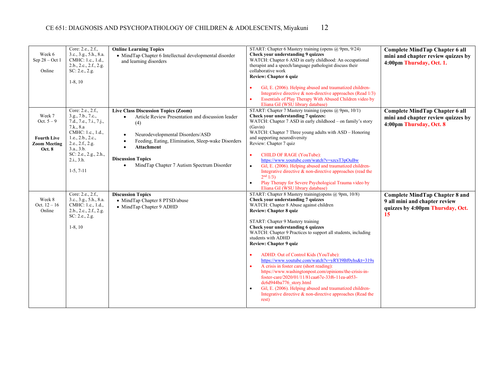| Week 6<br>Sep $28 - Oct1$<br>Online                                                  | Core: 2.e., 2.f.,<br>3.c., 3.g., 5.h., 8.a.<br>CMHC: 1.c., 1.d.,<br>2.b., 2.c., 2.f., 2.g.<br>SC: 2.e., 2.g.<br>$1-8, 10$                                                                                        | <b>Online Learning Topics</b><br>• MindTap Chapter 6 Intellectual developmental disorder<br>and learning disorders                                                                                                                                                                                                                           | START: Chapter 6 Mastery training (opens @ 9pm, 9/24)<br>Check your understanding 9 quizzes<br>WATCH: Chapter 6 ASD in early childhood: An occupational<br>therapist and a speech/language pathologist discuss their<br>collaborative work<br><b>Review: Chapter 6 quiz</b><br>Gil, E. (2006). Helping abused and traumatized children-<br>Integrative directive & non-directive approaches (Read 1/3)<br>Essentials of Play Therapy With Abused Children video by<br>Eliana Gil (WSU library database)                                                                                                                                                                                                                                                                                                                         | <b>Complete MindTap Chapter 6 all</b><br>mini and chapter review quizzes by<br>4:00pm Thursday, Oct. 1.          |
|--------------------------------------------------------------------------------------|------------------------------------------------------------------------------------------------------------------------------------------------------------------------------------------------------------------|----------------------------------------------------------------------------------------------------------------------------------------------------------------------------------------------------------------------------------------------------------------------------------------------------------------------------------------------|---------------------------------------------------------------------------------------------------------------------------------------------------------------------------------------------------------------------------------------------------------------------------------------------------------------------------------------------------------------------------------------------------------------------------------------------------------------------------------------------------------------------------------------------------------------------------------------------------------------------------------------------------------------------------------------------------------------------------------------------------------------------------------------------------------------------------------|------------------------------------------------------------------------------------------------------------------|
| Week 7<br>Oct. $5 - 9$<br><b>Fourth Live</b><br><b>Zoom Meeting</b><br><b>Oct. 8</b> | Core: 2.e., 2.f.,<br>3.g., 7.b., 7.c.,<br>7.d., 7.e., 7.i., 7.j.,<br>7.k., 8.a<br>CMHC: 1.c., 1.d.,<br>1.e., 2.b., 2.c.,<br>2.e., 2.f., 2.g.<br>3.a., 3.b.<br>SC: 2.e., 2.g., 2.h.,<br>2.i., 3.h.<br>$1-5, 7-11$ | Live Class Discussion Topics (Zoom)<br>Article Review Presentation and discussion leader<br>$\bullet$<br>(4)<br>Neurodevelopmental Disorders/ASD<br>$\bullet$<br>Feeding, Eating, Elimination, Sleep-wake Disorders<br><b>Attachment</b><br>$\bullet$<br><b>Discussion Topics</b><br>MindTap Chapter 7 Autism Spectrum Disorder<br>$\bullet$ | START: Chapter 7 Mastery training (opens @ 9pm, 10/1)<br>Check your understanding 7 quizzes:<br>WATCH: Chapter 7 ASD in early childhood - on family's story<br>(Gavin)<br>WATCH: Chapter 7 Three young adults with ASD – Honoring<br>and supporting neurodiversity<br>Review: Chapter 7 quiz<br>CHILD OF RAGE (YouTube):<br>$\bullet$<br>https://www.youtube.com/watch?v=szcsT3pOuBw<br>Gil, E. (2006). Helping abused and traumatized children-<br>$\bullet$<br>Integrative directive $\&$ non-directive approaches (read the<br>2 <sup>nd</sup> 1/3<br>Play Therapy for Severe Psychological Trauma video by<br>$\bullet$<br>Eliana Gil (WSU library database)                                                                                                                                                                | Complete MindTap Chapter 6 all<br>mini and chapter review quizzes by<br>4:00pm Thursday, Oct. 8                  |
| Week 8<br>Oct. $12 - 16$<br>Online                                                   | Core: 2.e., 2.f.,<br>3.c., 3.g., 5.h., 8.a.<br>CMHC: 1.c., 1.d.,<br>2.b., 2.c., 2.f., 2.g.<br>SC: 2.e., 2.g.<br>$1-8, 10$                                                                                        | <b>Discussion Topics</b><br>• MindTap Chapter 8 PTSD/abuse<br>• MindTap Chapter 9 ADHD                                                                                                                                                                                                                                                       | START: Chapter 8 Mastery training (opens @ 9pm, 10/8)<br>Check your understanding 7 quizzes<br>WATCH: Chapter 8 Abuse against children<br><b>Review: Chapter 8 quiz</b><br>START: Chapter 9 Mastery training<br>Check your understanding 6 quizzes<br>WATCH: Chapter 9 Practices to support all students, including<br>students with ADHD<br>Review: Chapter 9 quiz<br>ADHD: Out of Control Kids (YouTube):<br>$\bullet$<br>https://www.youtube.com/watch?v=yRY19Bf0yhs&t=319s<br>A crisis in foster care (short reading):<br>$\bullet$<br>https://www.washingtonpost.com/opinions/the-crisis-in-<br>foster-care/2020/01/11/81caa67e-33f6-11ea-a053-<br>dc6d944ba776 story.html<br>Gil, E. (2006). Helping abused and traumatized children-<br>$\bullet$<br>Integrative directive & non-directive approaches (Read the<br>rest) | <b>Complete MindTap Chapter 8 and</b><br>9 all mini and chapter review<br>quizzes by 4:00pm Thursday, Oct.<br>15 |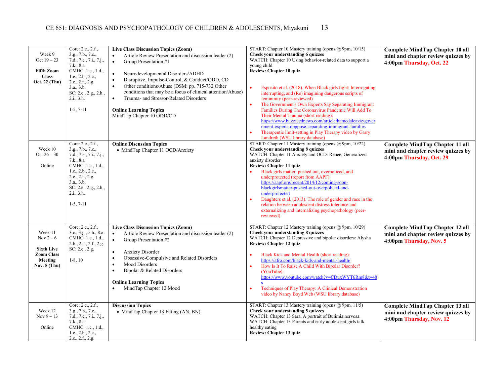| Week 9<br>Oct $19 - 23$<br><b>Fifth Zoom</b><br><b>Class</b><br>Oct. 22 (Thu)               | Core: 2.e., 2.f.,<br>3.g., 7.b., 7.c.,<br>7.d., 7.e., 7.i., 7.j.,<br>7.k., 8.a<br>CMHC: 1.c., 1.d.,<br>1.e., 2.b., 2.c.,<br>2.e., 2.f., 2.g.<br>3.a., 3.b.<br>SC: 2.e., 2.g., 2.h.,<br>2.i., 3.h.<br>$1-5, 7-11$ | <b>Live Class Discussion Topics (Zoom)</b><br>Article Review Presentation and discussion leader (2)<br>$\bullet$<br>$\bullet$<br>Group Presentation #1<br>$\bullet$<br>Neurodevelopmental Disorders/ADHD<br>Disruptive, Impulse-Control, & Conduct/ODD, CD<br>$\bullet$<br>Other conditions/Abuse (DSM: pp. 715-732 Other<br>$\bullet$<br>conditions that may be a focus of clinical attention/Abuse)<br>Trauma- and Stressor-Related Disorders<br>$\bullet$<br><b>Online Learning Topics</b><br>MindTap Chapter 10 ODD/CD | START: Chapter 10 Mastery training (opens $\omega$ 9pm, 10/15)<br>Check your understanding 6 quizzes<br>WATCH: Chapter 10 Using behavior-related data to support a<br>young child<br><b>Review: Chapter 10 quiz</b><br>Esposito et al. (2018). When Black girls fight: Interrogating,<br>$\bullet$<br>interrupting, and (Re) imagining dangerous scripts of<br>femininity (peer-reviewed)<br>The Government's Own Experts Say Separating Immigrant<br>$\bullet$<br>Families During The Coronavirus Pandemic Will Add To<br>Their Mental Trauma (short reading):<br>https://www.buzzfeednews.com/article/hamedaleaziz/gover<br>nment-experts-opppose-separating-immigrant-families<br>Therapeutic limit-setting in Play Therapy video by Garry<br>$\bullet$<br>Landreth (WSU library database) | Complete MindTap Chapter 10 all<br>mini and chapter review quizzes by<br>4:00pm Thursday, Oct. 22       |
|---------------------------------------------------------------------------------------------|------------------------------------------------------------------------------------------------------------------------------------------------------------------------------------------------------------------|----------------------------------------------------------------------------------------------------------------------------------------------------------------------------------------------------------------------------------------------------------------------------------------------------------------------------------------------------------------------------------------------------------------------------------------------------------------------------------------------------------------------------|-----------------------------------------------------------------------------------------------------------------------------------------------------------------------------------------------------------------------------------------------------------------------------------------------------------------------------------------------------------------------------------------------------------------------------------------------------------------------------------------------------------------------------------------------------------------------------------------------------------------------------------------------------------------------------------------------------------------------------------------------------------------------------------------------|---------------------------------------------------------------------------------------------------------|
| Week 10<br>$Oct 26 - 30$<br>Online                                                          | Core: 2.e., 2.f.,<br>3.g., 7.b., 7.c.,<br>7.d., 7.e., 7.i., 7.j.,<br>7.k., 8.a<br>CMHC: 1.c., 1.d.,<br>1.e., 2.b., 2.c.,<br>2.e., 2.f., 2.g.<br>3.a., 3.b.<br>SC: 2.e., 2.g., 2.h.,<br>2.i., 3.h.<br>$1-5, 7-11$ | <b>Online Discussion Topics</b><br>• MindTap Chapter 11 OCD/Anxiety                                                                                                                                                                                                                                                                                                                                                                                                                                                        | START: Chapter 11 Mastery training (opens @ 9pm, 10/22)<br>Check your understanding 8 quizzes<br>WATCH: Chapter 11 Anxiety and OCD: Renee, Generalized<br>anxiety disorder<br>Review: Chapter 11 quiz<br>Black girls matter: pushed out, overpoliced, and<br>underprotected (report from AAPF):<br>https://aapf.org/recent/2014/12/coming-soon-<br>blackgirlsmatter-pushed-out-overpoliced-and-<br>underprotected<br>Daughters et al. (2013). The role of gender and race in the<br>relation between adolescent distress tolerance and<br>externalizing and internalizing psychopathology (peer-<br>reviewed)                                                                                                                                                                                 | Complete MindTap Chapter 11 all<br>mini and chapter review quizzes by<br>4:00pm Thursday, Oct. 29       |
| Week 11<br>Nov $2-6$<br><b>Sixth Live</b><br><b>Zoom Class</b><br>Meeting<br>Nov. $5$ (Thu) | Core: 2.e., 2.f.,<br>3.c., 3.g., 5.h., 8.a.<br>CMHC: 1.c., 1.d.,<br>2.b., 2.c., 2.f., 2.g.<br>SC: 2.e., 2.g.<br>$1-8, 10$                                                                                        | <b>Live Class Discussion Topics (Zoom)</b><br>$\bullet$<br>Article Review Presentation and discussion leader (2)<br>$\bullet$<br>Group Presentation #2<br><b>Anxiety Disorder</b><br>$\bullet$<br>Obsessive-Compulsive and Related Disorders<br>$\bullet$<br>Mood Disorders<br>$\bullet$<br>Bipolar & Related Disorders<br>$\bullet$<br><b>Online Learning Topics</b><br>MindTap Chapter 12 Mood                                                                                                                           | START: Chapter 12 Mastery training (opens @ 9pm, 10/29)<br>Check your understanding 8 quizzes<br>WATCH: Chapter 12 Depressive and bipolar disorders: Alysha<br><b>Review: Chapter 12 quiz</b><br>Black Kids and Mental Health (short reading):<br>https://afro.com/black-kids-and-mental-health/<br>How Is It To Raise A Child With Bipolar Disorder?<br>$\bullet$<br>(YouTube):<br>https://www.youtube.com/watch?v=CDuxWYT6Rm8&t=48<br>Techniques of Play Therapy: A Clinical Demonstration<br>video by Nancy Boyd Web (WSU library database)                                                                                                                                                                                                                                                | <b>Complete MindTap Chapter 12 all</b><br>mini and chapter review quizzes by<br>4:00pm Thursday, Nov. 5 |
| Week 12<br>Nov $9-13$<br>Online                                                             | Core: 2.e., 2.f.,<br>3.g., 7.b., 7.c.,<br>7.d., 7.e., 7.i., 7.j.,<br>7.k., 8.a<br>CMHC: 1.c., 1.d.,<br>1.e., 2.b., 2.c.,<br>2.e., 2.f., 2.g.                                                                     | <b>Discussion Topics</b><br>• MindTap Chapter 13 Eating (AN, BN)                                                                                                                                                                                                                                                                                                                                                                                                                                                           | START: Chapter 13 Mastery training (opens @ 9pm, 11/5)<br>Check your understanding 5 quizzes<br>WATCH: Chapter 13 Sara, A portrait of Bulimia nervosa<br>WATCH: Chapter 13 Parents and early adolescent girls talk<br>healthy eating<br>Review: Chapter 13 quiz                                                                                                                                                                                                                                                                                                                                                                                                                                                                                                                               | Complete MindTap Chapter 13 all<br>mini and chapter review quizzes by<br>4:00pm Thursday, Nov. 12       |